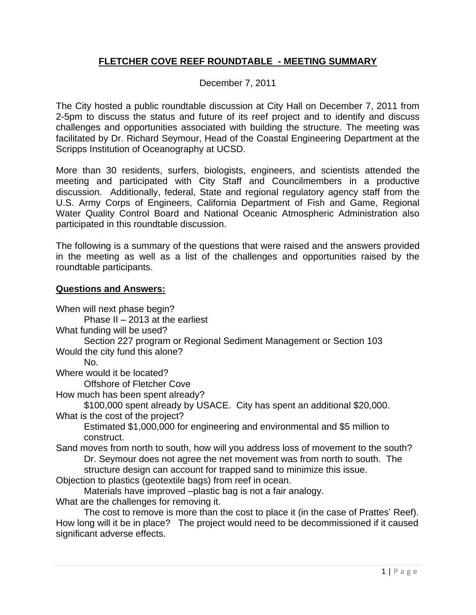### **FLETCHER COVE REEF ROUNDTABLE - MEETING SUMMARY**

### December 7, 2011

The City hosted a public roundtable discussion at City Hall on December 7, 2011 from 2-5pm to discuss the status and future of its reef project and to identify and discuss challenges and opportunities associated with building the structure. The meeting was facilitated by Dr. Richard Seymour, Head of the Coastal Engineering Department at the Scripps Institution of Oceanography at UCSD.

More than 30 residents, surfers, biologists, engineers, and scientists attended the meeting and participated with City Staff and Councilmembers in a productive discussion. Additionally, federal, State and regional regulatory agency staff from the U.S. Army Corps of Engineers, California Department of Fish and Game, Regional Water Quality Control Board and National Oceanic Atmospheric Administration also participated in this roundtable discussion.

The following is a summary of the questions that were raised and the answers provided in the meeting as well as a list of the challenges and opportunities raised by the roundtable participants.

#### **Questions and Answers:**

When will next phase begin? Phase II – 2013 at the earliest What funding will be used? Section 227 program or Regional Sediment Management or Section 103 Would the city fund this alone? No. Where would it be located? Offshore of Fletcher Cove How much has been spent already? \$100,000 spent already by USACE. City has spent an additional \$20,000. What is the cost of the project? Estimated \$1,000,000 for engineering and environmental and \$5 million to construct. Sand moves from north to south, how will you address loss of movement to the south? Dr. Seymour does not agree the net movement was from north to south. The structure design can account for trapped sand to minimize this issue. Objection to plastics (geotextile bags) from reef in ocean. Materials have improved –plastic bag is not a fair analogy. What are the challenges for removing it. The cost to remove is more than the cost to place it (in the case of Prattes' Reef). How long will it be in place? The project would need to be decommissioned if it caused significant adverse effects.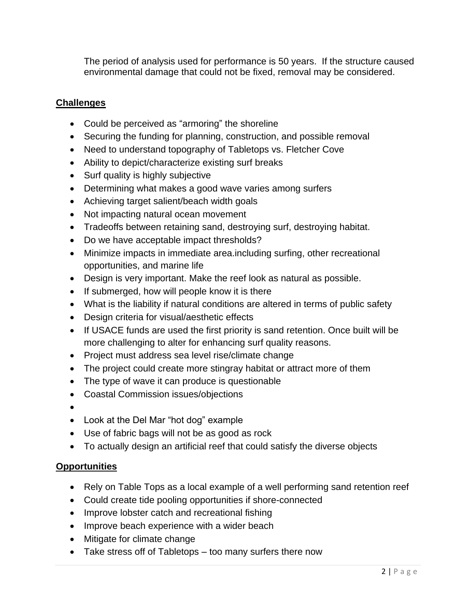The period of analysis used for performance is 50 years. If the structure caused environmental damage that could not be fixed, removal may be considered.

## **Challenges**

- Could be perceived as "armoring" the shoreline
- Securing the funding for planning, construction, and possible removal
- Need to understand topography of Tabletops vs. Fletcher Cove
- Ability to depict/characterize existing surf breaks
- Surf quality is highly subjective
- Determining what makes a good wave varies among surfers
- Achieving target salient/beach width goals
- Not impacting natural ocean movement
- Tradeoffs between retaining sand, destroying surf, destroying habitat.
- Do we have acceptable impact thresholds?
- Minimize impacts in immediate area.including surfing, other recreational opportunities, and marine life
- Design is very important. Make the reef look as natural as possible.
- If submerged, how will people know it is there
- What is the liability if natural conditions are altered in terms of public safety
- Design criteria for visual/aesthetic effects
- If USACE funds are used the first priority is sand retention. Once built will be more challenging to alter for enhancing surf quality reasons.
- Project must address sea level rise/climate change
- The project could create more stingray habitat or attract more of them
- The type of wave it can produce is questionable
- Coastal Commission issues/objections
- $\bullet$
- Look at the Del Mar "hot dog" example
- Use of fabric bags will not be as good as rock
- To actually design an artificial reef that could satisfy the diverse objects

# **Opportunities**

- Rely on Table Tops as a local example of a well performing sand retention reef
- Could create tide pooling opportunities if shore-connected
- Improve lobster catch and recreational fishing
- Improve beach experience with a wider beach
- Mitigate for climate change
- Take stress off of Tabletops too many surfers there now